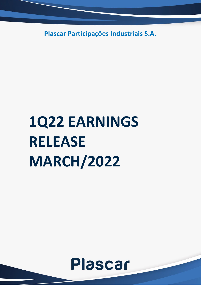**Plascar Participações Industriais S.A.**

# **1Q22 EARNINGS RELEASE MARCH/2022**

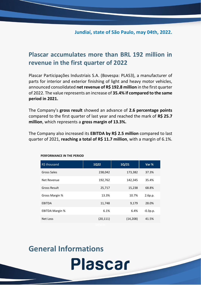### **Jundiaí, state of São Paulo, may 04th, 2022.**

### **Plascar accumulates more than BRL 192 million in revenue in the first quarter of 2022**

Plascar Participações Industriais S.A. (Bovespa: PLAS3), a manufacturer of parts for interior and exterior finishing of light and heavy motor vehicles, announced consolidated **net revenue of R\$ 192.8 million** in the first quarter of 2022. The value represents an increase of **35.4% if compared to the same period in 2021.**

The Company's **gross result** showed an advance of **2.6 percentage points** compared to the first quarter of last year and reached the mark of **R\$ 25.7 million**, which represents a **gross margin of 13.3%.**

The Company also increased its **EBITDA by R\$ 2.5 million** compared to last quarter of 2021, **reaching a total of R\$ 11.7 million**, with a margin of 6.1%.

| R\$ thousand           | <b>1Q22</b> | $1Q/21$   | Var %      |
|------------------------|-------------|-----------|------------|
| Gross Sales            | 238,042     | 173,382   | 37.3%      |
| Net Revenue            | 192,762     | 142,345   | 35.4%      |
| <b>Gross Result</b>    | 25,717      | 15,238    | 68.8%      |
| Gross Margin %         | 13.3%       | 10.7%     | 2.6p.p.    |
| <b>EBITDA</b>          | 11,748      | 9,179     | 28.0%      |
| <b>EBITDA Margin %</b> | 6.1%        | 6.4%      | $-0.3p.p.$ |
| Net Loss               | (20, 111)   | (14, 208) | 41.5%      |
|                        |             |           |            |

**Plascar** 

#### **PERFORMANCE IN THE PERIOD**

## **General Informations**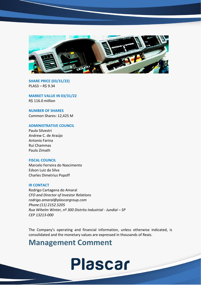

**SHARE PRICE (03/31/22)** PLAS3 – R\$ 9.34

**MARKET VALUE IN 03/31/22** R\$ 116.0 million

**NUMBER OF SHARES** Common Shares: 12,425 M

#### **ADMINISTRATIVE COUNCIL**

Paulo Silvestri Andrew C. de Araújo Antonio Farina Rui Chammas Paulo Zimath

#### **FISCAL COUNCIL**

Marcelo Ferreira do Nascimento Edson Luiz da Silva Charles Dimetrius Popoff

#### **IR CONTACT**

Rodrigo Cartagena do Amaral *CFO and Director of Investor Relations rodrigo.amaral@plascargroup.com Phone:(11) 2152.5205 Rua Wihelm Winter, nº 300 Distrito Industrial - Jundiaí – SP CEP 13213-000*

The Company's operating and financial information, unless otherwise indicated, is consolidated and the monetary values are expressed in thousands of Reais.

## **Management Comment**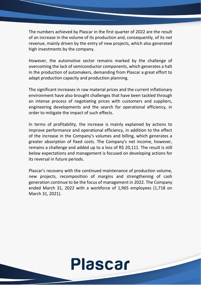The numbers achieved by Plascar in the first quarter of 2022 are the result of an increase in the volume of its production and, consequently, of its net revenue, mainly driven by the entry of new projects, which also generated high investments by the company.

However, the automotive sector remains marked by the challenge of overcoming the lack of semiconductor components, which generates a halt in the production of automakers, demanding from Plascar a great effort to adapt production capacity and production planning.

The significant increases in raw material prices and the current inflationary environment have also brought challenges that have been tackled through an intense process of negotiating prices with customers and suppliers, engineering developments and the search for operational efficiency, in order to mitigate the impact of such effects.

In terms of profitability, the increase is mainly explained by actions to improve performance and operational efficiency, in addition to the effect of the increase in the Company's volumes and billing, which generates a greater absorption of fixed costs. The Company's net income, however, remains a challenge and added up to a loss of R\$ 20,111. The result is still below expectations and management is focused on developing actions for its reversal in future periods.

Plascar's recovery with the continued maintenance of production volume, new projects, recomposition of margins and strengthening of cash generation continue to be the focus of management in 2022. The Company ended March 31, 2022 with a workforce of 1,965 employees (1,718 on March 31, 2021).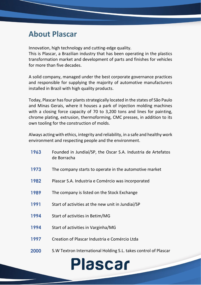## **About Plascar**

Innovation, high technology and cutting-edge quality.

This is Plascar, a Brazilian industry that has been operating in the plastics transformation market and development of parts and finishes for vehicles for more than five decades.

A solid company, managed under the best corporate governance practices and responsible for supplying the majority of automotive manufacturers installed in Brazil with high quality products.

Today, Plascar has four plants strategically located in the states of São Paulo and Minas Gerais, where it houses a park of injection molding machines with a closing force capacity of 70 to 3,200 tons and lines for painting, chrome plating, extrusion, thermoforming, CMC presses, in addition to its own tooling for the construction of molds.

Always acting with ethics, integrity and reliability, in a safe and healthy work environment and respecting people and the environment.

| 1963 | Founded in Jundiaí/SP, the Oscar S.A. Industria de Artefatos<br>de Borracha |
|------|-----------------------------------------------------------------------------|
| 1973 | The company starts to operate in the automotive market                      |
| 1982 | Plascar S.A. Industria e Comércio was incorporated                          |
| 1989 | The company is listed on the Stock Exchange                                 |
| 1991 | Start of activities at the new unit in Jundiai/SP                           |
| 1994 | Start of activities in Betim/MG                                             |
| 1994 | Start of activities in Varginha/MG                                          |
| 1997 | Creation of Plascar Industria e Comércio Ltda                               |
| 2000 | S.W Textron International Holding S.L. takes control of Plascar             |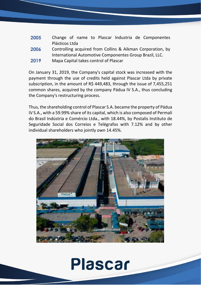| 2005 | Change of name to Plascar Industria de Componentes         |
|------|------------------------------------------------------------|
|      | Plásticos Ltda                                             |
| 2006 | Controlling acquired from Collins & Aikman Corporation, by |
|      | International Automotive Componentes Group Brazil, LLC.    |
| 2019 | Mapa Capital takes control of Plascar                      |

On January 31, 2019, the Company's capital stock was increased with the payment through the use of credits held against Plascar Ltda by private subscription, in the amount of R\$ 449,483, through the issue of 7,455,251 common shares, acquired by the company Pádua IV S.A., thus concluding the Company's restructuring process.

Thus, the shareholding control of Plascar S.A. became the property of Pádua IV S.A., with a 59.99% share of its capital, which is also composed of Permali do Brasil Indústria e Comércio Ltda., with 18.44%, by Postalis Instituto de Seguridade Social dos Correios e Telégrafos with 7.12% and by other individual shareholders who jointly own 14.45%.

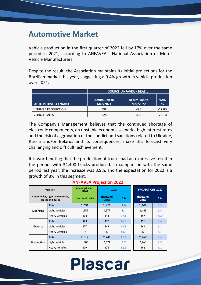## **Automotive Market**

Vehicle production in the first quarter of 2022 fell by 17% over the same period in 2021, according to ANFAVEA - National Association of Motor Vehicle Manufacturers.

Despite the result, the Association maintains its initial projections for the Brazilian market this year, suggesting a 9.4% growth in vehicle production over 2021.

|                            | <b>SOURCE: ANFÁVEA – BRAZIL</b> |                           |           |  |  |  |
|----------------------------|---------------------------------|---------------------------|-----------|--|--|--|
| <b>AUTOMOTIVE SCENARIO</b> | Accum. Jan to<br>Mar/2021       | Accum. Jan to<br>Mar/2022 | VAR.<br>% |  |  |  |
| <b>VEHILCLE PRODUCTION</b> | 598                             | 496                       | $-17.0%$  |  |  |  |
| <b>VEHICLE SALES</b>       | 528                             | 406                       | $-23.1%$  |  |  |  |

The Company's Management believes that the continued shortage of electronic components, an unstable economic scenario, high interest rates and the risk of aggravation of the conflict and sanctions related to Ukraine, Russia and/or Belarus and its consequences, make this forecast very challenging and difficult. achievement.

It is worth noting that the production of trucks had an expressive result in the period, with 34,400 trucks produced. In comparison with the same period last year, the increase was 3.9%, and the expectation for 2022 is a growth of 8% in this segment.

|                | <b>Vehicles:</b>                                           | Accomplished<br>2020 | 2021                            |      | <b>PROJECTIONS 2022</b> |            |
|----------------|------------------------------------------------------------|----------------------|---------------------------------|------|-------------------------|------------|
|                | Automobiles, Light Commercials,<br><b>Trucks and Buses</b> | thousand units       | thousand<br>$\Delta$ %<br>units |      | thousand<br>units       | $\Delta$ % |
|                | <b>Total</b>                                               | 2,058                | 2,120                           | 3.0  | 2,300                   | 8.5        |
| Licensing      | Light vehicles                                             | 1,955                | 1,977                           | 1.1  | 2,143                   | 8.4        |
|                | Heavy vehicles                                             | 104                  | 143                             | 37.8 | 157                     | 10.0       |
|                | <b>Total</b>                                               | 324                  | 376                             | 16.0 | 390                     | 3.6        |
| <b>Exports</b> | Light vehicles                                             | 307                  | 349                             | 13.8 | 361                     | 3.3        |
|                | Heavy vehicles                                             | 17                   | 27                              | 55.1 | 29                      | 7.7        |
|                | <b>Total</b>                                               | 2,014                | 2,248                           | 11.6 | 2,460                   | 9.4        |
| Production     | Light vehicles                                             | 1,905                | 2,071                           | 8.7  | 2,268                   | 9.5        |
|                | Heavy vehicles                                             | 109                  | 178                             | 62.5 | 192                     | 8.2        |

#### **ANFAVEA Projection 2022**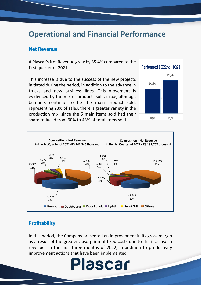## **Operational and Financial Performance**

#### **Net Revenue**

A Plascar's Net Revenue grew by 35.4% compared to the first quarter of 2021.

This increase is due to the success of the new projects initiated during the period, in addition to the advance in trucks and new business lines. This movement is evidenced by the mix of products sold, since, although bumpers continue to be the main product sold, representing 23% of sales, there is greater variety in the production mix, since the 5 main items sold had their share reduced from 60% to 43% of total items sold.





### **Profitability**

In this period, the Company presented an improvement in its gross margin as a result of the greater absorption of fixed costs due to the increase in revenues in the first three months of 2022, in addition to productivity improvement actions that have been implemented.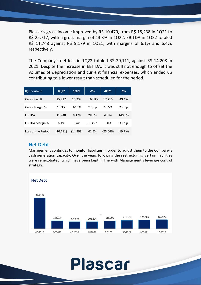Plascar's gross income improved by R\$ 10,479, from R\$ 15,238 in 1Q21 to R\$ 25,717, with a gross margin of 13.3% in 1Q22. EBITDA in 1Q22 totaled R\$ 11,748 against R\$ 9,179 in 1Q21, with margins of 6.1% and 6.4%, respectively.

The Company's net loss in 1Q22 totaled R\$ 20,111, against R\$ 14,208 in 2021. Despite the increase in EBITDA, it was still not enough to offset the volumes of depreciation and current financial expenses, which ended up contributing to a lower result than scheduled for the period.

| R\$ thousand           | <b>1Q22</b> | <b>1Q21</b> | Δ%        | 4Q21     | Δ%                 |
|------------------------|-------------|-------------|-----------|----------|--------------------|
| <b>Gross Result</b>    | 25,717      | 15,238      | 68.8%     | 17,215   | 49.4%              |
| Gross Margin %         | 13.3%       | 10.7%       | 2.6p.p    | 10.5%    | 2.8p.p             |
| <b>EBITDA</b>          | 11,748      | 9,179       | 28.0%     | 4,884    | 140.5%             |
| <b>EBITDA Margin %</b> | 6.1%        | 6.4%        | $-0.3p.p$ | 3.0%     | 3.1 <sub>p.p</sub> |
| Loss of the Period     | (20,111)    | (14.208)    | 41.5%     | (25.046) | (19.7%)            |

### **Net Debt**

Management continues to monitor liabilities in order to adjust them to the Company's cash generation capacity. Over the years following the restructuring, certain liabilities were renegotiated, which have been kept in line with Management's leverage control strategy.

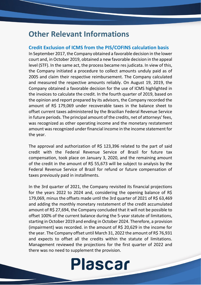## **Other Relevant Informations**

### **Credit Exclusion of ICMS from the PIS/COFINS calculation basis**

In September 2017, the Company obtained a favorable decision in the lower court and, in October 2019, obtained a new favorable decision in the appeal level (STF). In the same act, the process became res judicata. In view of this, the Company initiated a procedure to collect amounts unduly paid as of 2005 and claim their respective reimbursement. The Company calculated and measured the respective amounts reliably. On August 19, 2019, the Company obtained a favorable decision for the use of ICMS highlighted in the invoices to calculate the credit. In the fourth quarter of 2019, based on the opinion and report prepared by its advisors, the Company recorded the amount of R\$ 179,069 under recoverable taxes in the balance sheet to offset current taxes administered by the Brazilian Federal Revenue Service in future periods. The principal amount of the credits, net of attorneys' fees, was recognized as other operating income and the monetary restatement amount was recognized under financial income in the income statement for the year.

The approval and authorization of R\$ 123,396 related to the part of said credit with the Federal Revenue Service of Brazil for future tax compensation, took place on January 3, 2020, and the remaining amount of the credit in the amount of R\$ 55,673 will be subject to analysis by the Federal Revenue Service of Brazil for refund or future compensation of taxes previously paid in installments.

In the 3rd quarter of 2021, the Company revisited its financial projections for the years 2022 to 2024 and, considering the opening balance of R\$ 179,069, minus the offsets made until the 3rd quarter of 2021 of R\$ 63,469 and adding the monthly monetary restatement of the credit accumulated amount of R\$ 27,694, the Company concluded that it will not be possible to offset 100% of the current balance during the 5-year statute of limitations, starting in October 2019 and ending in October 2024. Therefore, a provision (impairment) was recorded. in the amount of R\$ 20,629 in the income for the year. The Company offset until March 31, 2022 the amount of R\$ 76,931 and expects to offset all the credits within the statute of limitations. Management reviewed the projections for the first quarter of 2022 and there was no need to supplement the provision.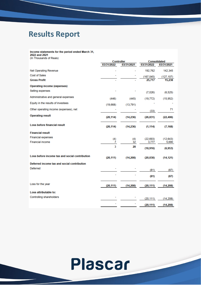## **Results Report**

#### Income statements for the period ended March 31,<br>2022 and 2021 s)

|  | (In Thousands of Reais |  |  |  |
|--|------------------------|--|--|--|
|--|------------------------|--|--|--|

|                                                |            | <b>Controller</b> |            | <b>Consolidated</b> |
|------------------------------------------------|------------|-------------------|------------|---------------------|
|                                                | 03/31/2022 | 03/31/2021        | 03/31/2022 | 03/31/2021          |
| <b>Net Operating Revenue</b>                   |            |                   | 192,762    | 142,345             |
| <b>Cost of Sales</b>                           |            |                   | (167, 045) | (127, 107)          |
| <b>Gross Profit</b>                            |            |                   | 25,717     | 15,238              |
| <b>Operating income (expenses)</b>             |            |                   |            |                     |
| Selling expenses                               |            |                   | (7,026)    | (6, 525)            |
| Administrative and general expenses            | (446)      | (445)             | (19, 772)  | (15, 952)           |
| Equity in the results of investees             | (19,668)   | (13, 791)         |            |                     |
| Other operating income (expenses), net         |            |                   | (33)       | 71                  |
| <b>Operating result</b>                        | (20, 114)  | (14,236)          | (26, 831)  | (22, 406)           |
| <b>Loss before financial result</b>            | (20, 114)  | (14, 236)         | (1, 114)   | (7, 168)            |
| <b>Financial result</b>                        |            |                   |            |                     |
| <b>Financial expenses</b>                      | (4)        | (4)               | (22, 693)  | (12, 643)           |
| <b>Financial income</b>                        | 7          | 32                | 3,777      | 5,690               |
|                                                | 3          | 28                | (18, 916)  | (6,953)             |
| Loss before income tax and social contribution | (20, 111)  | (14,208)          | (20, 030)  | (14, 121)           |
| Deferred income tax and social contribution    |            |                   |            |                     |
| Deferred                                       |            |                   | (81)       | (87)                |
|                                                |            |                   | (81)       | (87)                |
| Loss for the year                              | (20, 111)  | (14,208)          | (20, 111)  | (14,208)            |
| Loss attributable to:                          |            |                   |            |                     |
| Controlling shareholders                       |            |                   | (20, 111)  | (14, 208)           |
|                                                |            |                   | (20, 111)  | (14, 208)           |

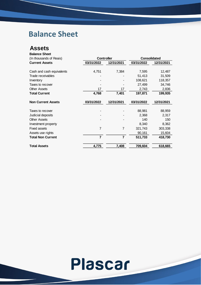## **Balance Sheet**

### **Assets**

| <b>Balance Sheet</b>      |                   |                |            |                     |
|---------------------------|-------------------|----------------|------------|---------------------|
| (In thousands of Reais)   | <b>Controller</b> |                |            | <b>Consolidated</b> |
| <b>Current Assets</b>     | 03/31/2022        | 12/31/2021     | 03/31/2022 | 12/31/2021          |
| Cash and cash equivalents | 4,751             | 7,384          | 7,595      | 12,487              |
| Trade receivables         |                   |                | 51,413     | 31,509              |
| Inventory                 |                   |                | 108,621    | 118,357             |
| Taxes to recover          |                   |                | 27,499     | 34,746              |
| <b>Other Assets</b>       | 17                | 17             | 2,743      | 2,836               |
| <b>Total Current</b>      | 4,768             | 7,401          | 197,871    | 199,935             |
| <b>Non Current Assets</b> | 03/31/2022        | 12/31/2021     | 03/31/2022 | 12/31/2021          |
| Taxes to recover          |                   |                | 88,981     | 88,959              |
| Judicial deposits         |                   |                | 2,368      | 2,317               |
| <b>Other Assets</b>       |                   |                | 140        | 150                 |
| Investment property       |                   |                | 8,340      | 8,362               |
| <b>Fixed assets</b>       | $\overline{7}$    | $\overline{7}$ | 321,743    | 303,338             |
| Assets use rights         |                   |                | 90,161     | 15,604              |
| <b>Total Non Current</b>  | $\overline{7}$    | $\overline{7}$ | 511,733    | 418,730             |
| <b>Total Assets</b>       | 4,775             | 7,408          | 709,604    | 618,665             |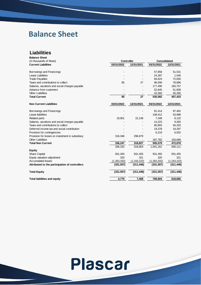## **Balance Sheet**

### **Liabilities**

| <b>Balance Sheet</b>                             |               |                   |             |                     |
|--------------------------------------------------|---------------|-------------------|-------------|---------------------|
| (In thousands of Reais)                          |               | <b>Controller</b> |             | <b>Consolidated</b> |
| <b>Current Liabilities</b>                       | 03/31/2022    | 12/31/2021        | 03/31/2022  | 12/31/2021          |
| Borrowings and Financings                        |               |                   | 57,858      | 51,531              |
| Lease Liabilities                                |               |                   | 24,397      | 1,546               |
| <b>Trade Payables</b>                            |               |                   | 84,624      | 72,830              |
| Taxes and contributions to collect               | 85            | 27                | 96,008      | 78,896              |
| Salaries, vacations and social charges payable   |               |                   | 177,490     | 160,757             |
| Advance from customers                           |               |                   | 52,645      | 51,608              |
| <b>Other Liabilities</b>                         |               |                   | 42,560      | 40,265              |
| <b>Total Current</b>                             | 85            | 27                | 535,582     | 457,433             |
| <b>Non Current Liabilities</b>                   | 03/31/2022    | 12/31/2021        | 03/31/2022  | 12/31/2021          |
| Borrowings and Financings                        |               |                   | 81,414      | 87,462              |
| Lease liabilities                                |               |                   | 108,412     | 53,988              |
| <b>Related parts</b>                             | 19,901        | 22,148            | 7,348       | 8,132               |
| Salaries, vacations and social charges payable   |               |                   | 14,223      | 9,265               |
| Taxes and contributions to collect               |               |                   | 80,803      | 94,333              |
| Deferred income tax and social contribution      |               |                   | 19,378      | 19,297              |
| Provision for contingencies                      |               |                   | 6,219       | 6,502               |
| Provision for losses on investment in subsidiary | 316,346       | 296,679           |             |                     |
| <b>Other Liabilities</b>                         |               |                   | 187,782     | 193,699             |
| <b>Total Non Current</b>                         | 336,247       | 318,827           | 505,579     | 472,678             |
|                                                  | 336,332       | 318,854           | 1,041,161   | 930,111             |
| Equity                                           |               |                   |             |                     |
| <b>Share Capital</b>                             | 931,455       | 931,455           | 931,455     | 931,455             |
| Equity valuation adjustment                      | 320           | 321               | 320         | 321                 |
| <b>Accumulated losses</b>                        | (1, 263, 332) | (1, 243, 222)     | (1,263,332) | (1,243,222)         |
| Attributed to the participation of controllers   | (331, 557)    | (311, 446)        | (331, 557)  | (311, 446)          |
| <b>Total Equity</b>                              | (331, 557)    | (311, 446)        | (331, 557)  | (311, 446)          |
| <b>Total liabilities and equity</b>              | 4,775         | 7,408             | 709,604     | 618,665             |